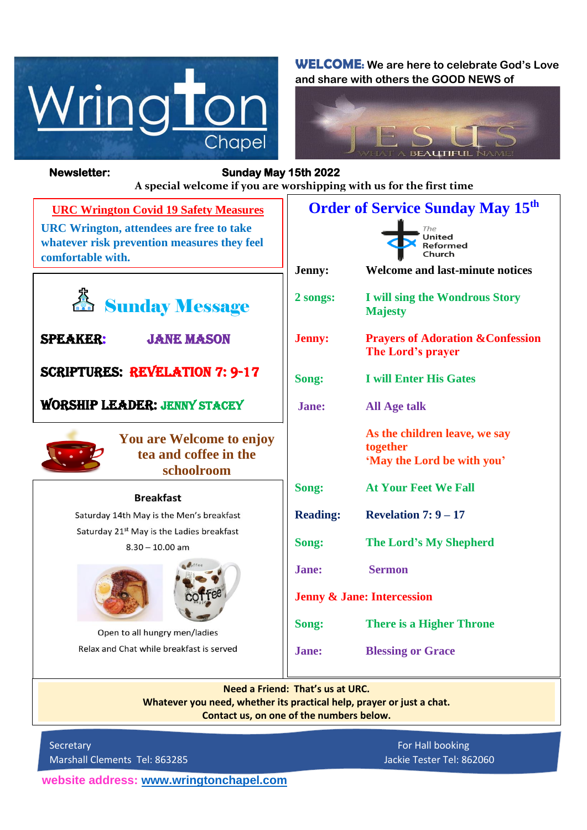

**WELCOME: We are here to celebrate God's Love and share with others the GOOD NEWS of**



**Newsletter: Sunday May 15th 2022**  *Figure 1ready steady* **A special welcome if you are worshipping with us for the first time Order of Service Sunday May 15th URC Wrington Covid 19 Safety Measures URC Wrington, attendees are free to take**   $The$  $\overline{\mathsf{United}}$ **whatever risk prevention measures they feel**  Reformed  $Church$ **comfortable with. Jenny: Welcome and last-minute notices Sunday Message 2 songs: I will sing the Wondrous Story Majesty Jenny: Prayers of Adoration &Confession**  Speaker: Jane Mason **The Lord's prayer** Scriptures: Revelation 7: 9-17 **Song: I will Enter His Gates** Worship leader: jenny Stacey **Jane: All Age talk**  $\overline{a}$ **As the children leave, we say You are Welcome to enjoy together tea and coffee in the 'May the Lord be with you' schoolroom** $\overline{\phantom{0}}$ **Song: At Your Feet We Fall Breakfast** Saturday 14th May is the Men's breakfast **Reading: Revelation 7: 9 – 17** Saturday 21<sup>st</sup> May is the Ladies breakfast **Song: The Lord's My Shepherd**  $8.30 - 10.00$  am **Jane: Sermon Jenny & Jane: Intercession Song: There is a Higher Throne** Open to all hungry men/ladies Relax and Chat while breakfast is served **Jane: Blessing or Grace** 

> **Need a Friend: That's us at URC. Whatever you need, whether its practical help, prayer or just a chat. Contact us, on one of the numbers below.**

Secretary **For Hall booking** For Hall booking Marshall Clements Tel: 863285 Jackie Tester Tel: 862060

**website address: [www.wringtonchapel.com](http://www.wringtonchapel.com/)**